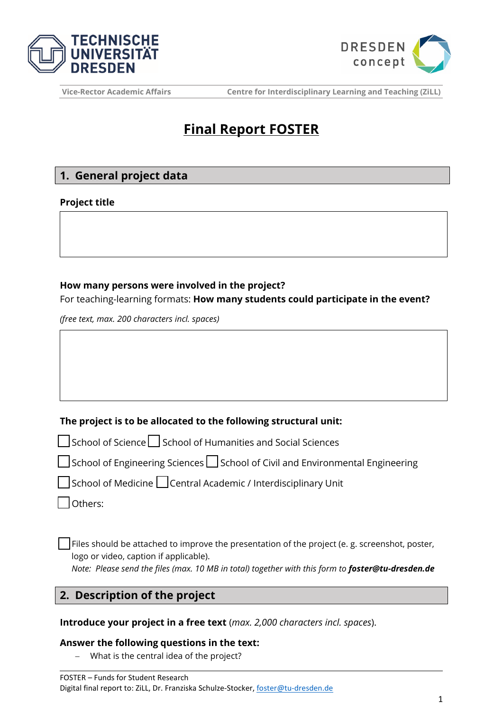



# **Final Report FOSTER**

# **1. General project data**

#### **Project title**

## **How many persons were involved in the project?**

For teaching-learning formats: **How many students could participate in the event?** 

*(free text, max. 200 characters incl. spaces)*

## **The project is to be allocated to the following structural unit:**

☐ School of Science ☐ School of Humanities and Social Sciences

☐ School of Engineering Sciences ☐ School of Civil and Environmental Engineering

School of Medicine □ Central Academic / Interdisciplinary Unit

☐ Others:

Files should be attached to improve the presentation of the project (e. g. screenshot, poster, logo or video, caption if applicable).

*Note: Please send the files (max. 10 MB in total) together with this form to foster@tu-dresden.de*

## **2. Description of the project**

**Introduce your project in a free text** (*max. 2,000 characters incl. spaces*).

## **Answer the following questions in the text:**

− What is the central idea of the project?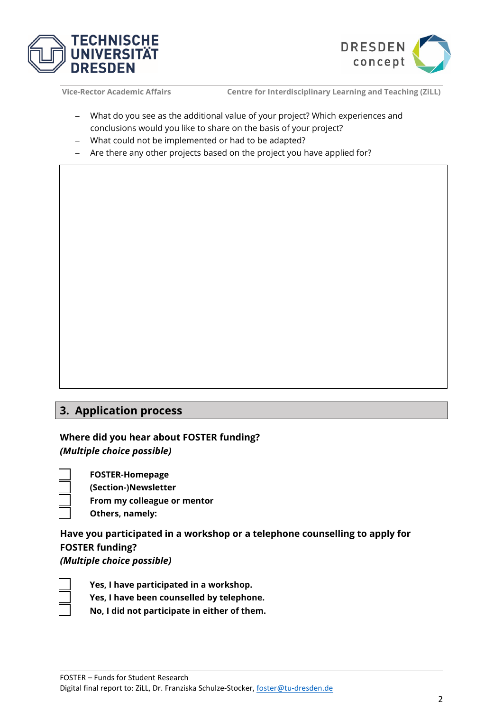



- − What do you see as the additional value of your project? Which experiences and conclusions would you like to share on the basis of your project?
- − What could not be implemented or had to be adapted?
- − Are there any other projects based on the project you have applied for?

## **3. Application process**

**Where did you hear about FOSTER funding?** 

*(Multiple choice possible)*

☐ **FOSTER-Homepage** ☐ **(Section-)Newsletter**

☐ **From my colleague or mentor**

☐ **Others, namely:**

**Have you participated in a workshop or a telephone counselling to apply for FOSTER funding?**  *(Multiple choice possible)* 



☐ **Yes, I have participated in a workshop.**

☐ **Yes, I have been counselled by telephone.**

☐ **No, I did not participate in either of them.**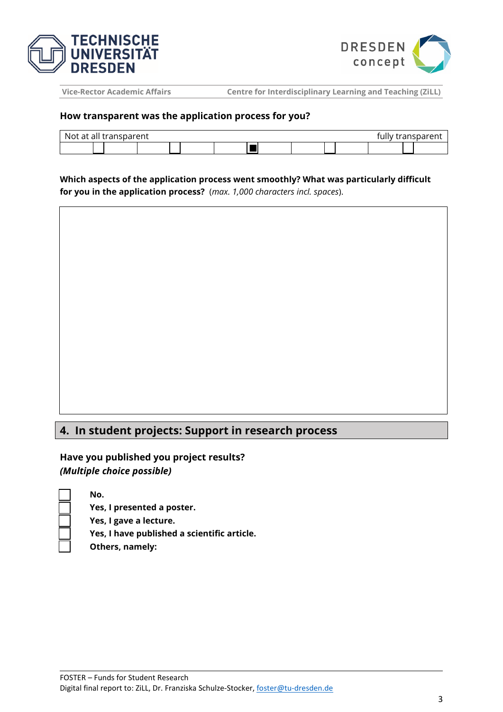



#### **How transparent was the application process for you?**

| transparent<br>transnarent<br>Not.<br>: at all i |  |  |  |  |  |  |  |  |  |  |  |
|--------------------------------------------------|--|--|--|--|--|--|--|--|--|--|--|
|                                                  |  |  |  |  |  |  |  |  |  |  |  |

**Which aspects of the application process went smoothly? What was particularly difficult for you in the application process?** (*max. 1,000 characters incl. spaces*).

## **4. In student projects: Support in research process**

**Have you published you project results?**  *(Multiple choice possible)* 

- ☐ **Yes, I presented a poster.**
- ☐ **Yes, I gave a lecture.**
- ☐ **Yes, I have published a scientific article.**
- ☐ **Others, namely:**

☐ **No.**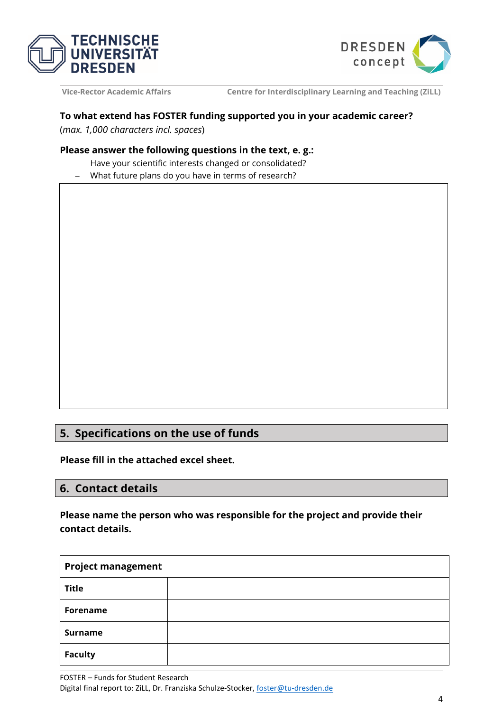



## **To what extend has FOSTER funding supported you in your academic career?**

(*max. 1,000 characters incl. spaces*)

#### **Please answer the following questions in the text, e. g.:**

- − Have your scientific interests changed or consolidated?
- − What future plans do you have in terms of research?

# **5. Specifications on the use of funds**

**Please fill in the attached excel sheet.** 

## **6. Contact details**

**Please name the person who was responsible for the project and provide their contact details.** 

| <b>Project management</b> |  |
|---------------------------|--|
| <b>Title</b>              |  |
| <b>Forename</b>           |  |
| <b>Surname</b>            |  |
| <b>Faculty</b>            |  |